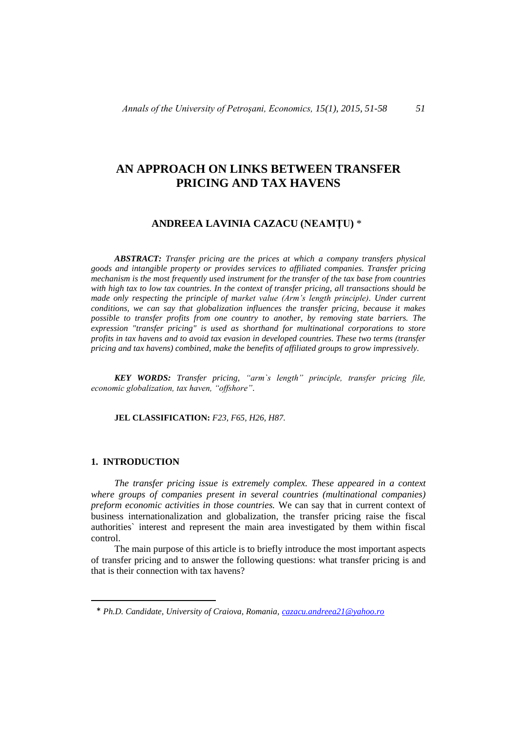# **AN APPROACH ON LINKS BETWEEN TRANSFER PRICING AND TAX HAVENS**

## **ANDREEA LAVINIA CAZACU (NEAMŢU)** \* 1

*ABSTRACT: Transfer pricing are the prices at which a company transfers physical goods and intangible property or provides services to affiliated companies. Transfer pricing mechanism is the most frequently used instrument for the transfer of the tax base from countries with high tax to low tax countries. In the context of transfer pricing, all transactions should be made only respecting the principle of market value (Arm's length principle). Under current conditions, we can say that globalization influences the transfer pricing, because it makes possible to transfer profits from one country to another, by removing state barriers. The expression "transfer pricing" is used as shorthand for multinational corporations to store profits in tax havens and to avoid tax evasion in developed countries. These two terms (transfer pricing and tax havens) combined, make the benefits of affiliated groups to grow impressively.*

*KEY WORDS: Transfer pricing, "arm`s length" principle, transfer pricing file, economic globalization, tax haven, "offshore".*

**JEL CLASSIFICATION:** *F23, F65, H26, H87.*

### **1. INTRODUCTION**

 $\overline{a}$ 

*The transfer pricing issue is extremely complex. These appeared in a context where groups of companies present in several countries (multinational companies) preform economic activities in those countries.* We can say that in current context of business internationalization and globalization, the transfer pricing raise the fiscal authorities` interest and represent the main area investigated by them within fiscal control.

The main purpose of this article is to briefly introduce the most important aspects of transfer pricing and to answer the following questions: what transfer pricing is and that is their connection with tax havens?

<sup>\*</sup> *Ph.D. Candidate, University of Craiova, Romania, [cazacu.andreea21@yahoo.ro](mailto:cazacu.andreea21@yahoo.ro)*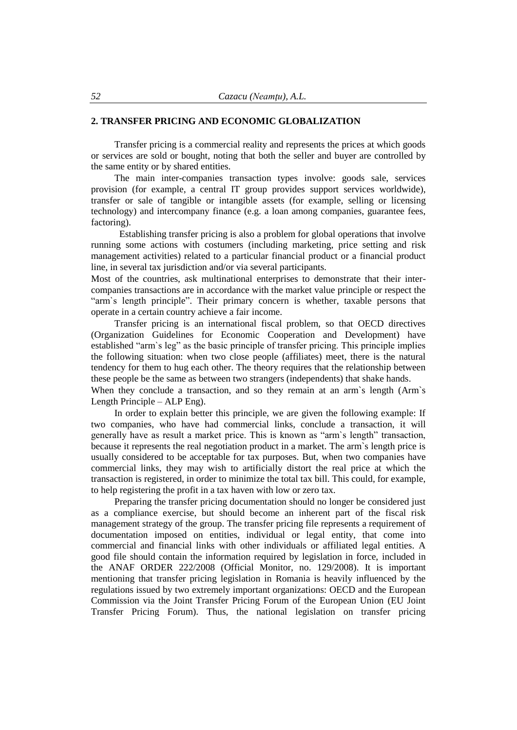## **2. TRANSFER PRICING AND ECONOMIC GLOBALIZATION**

Transfer pricing is a commercial reality and represents the prices at which goods or services are sold or bought, noting that both the seller and buyer are controlled by the same entity or by shared entities.

The main inter-companies transaction types involve: goods sale, services provision (for example, a central IT group provides support services worldwide), transfer or sale of tangible or intangible assets (for example, selling or licensing technology) and intercompany finance (e.g. a loan among companies, guarantee fees, factoring).

 Establishing transfer pricing is also a problem for global operations that involve running some actions with costumers (including marketing, price setting and risk management activities) related to a particular financial product or a financial product line, in several tax jurisdiction and/or via several participants.

Most of the countries, ask multinational enterprises to demonstrate that their intercompanies transactions are in accordance with the market value principle or respect the "arm`s length principle". Their primary concern is whether, taxable persons that operate in a certain country achieve a fair income.

Transfer pricing is an international fiscal problem, so that OECD directives (Organization Guidelines for Economic Cooperation and Development) have established "arm`s leg" as the basic principle of transfer pricing. This principle implies the following situation: when two close people (affiliates) meet, there is the natural tendency for them to hug each other. The theory requires that the relationship between these people be the same as between two strangers (independents) that shake hands.

When they conclude a transaction, and so they remain at an arm's length (Arm's Length Principle – ALP Eng).

In order to explain better this principle, we are given the following example: If two companies, who have had commercial links, conclude a transaction, it will generally have as result a market price. This is known as "arm`s length" transaction, because it represents the real negotiation product in a market. The arm`s length price is usually considered to be acceptable for tax purposes. But, when two companies have commercial links, they may wish to artificially distort the real price at which the transaction is registered, in order to minimize the total tax bill. This could, for example, to help registering the profit in a tax haven with low or zero tax.

Preparing the transfer pricing documentation should no longer be considered just as a compliance exercise, but should become an inherent part of the fiscal risk management strategy of the group. The transfer pricing file represents a requirement of documentation imposed on entities, individual or legal entity, that come into commercial and financial links with other individuals or affiliated legal entities. A good file should contain the information required by legislation in force, included in the ANAF ORDER 222/2008 (Official Monitor, no. 129/2008). It is important mentioning that transfer pricing legislation in Romania is heavily influenced by the regulations issued by two extremely important organizations: OECD and the European Commission via the Joint Transfer Pricing Forum of the European Union (EU Joint Transfer Pricing Forum). Thus, the national legislation on transfer pricing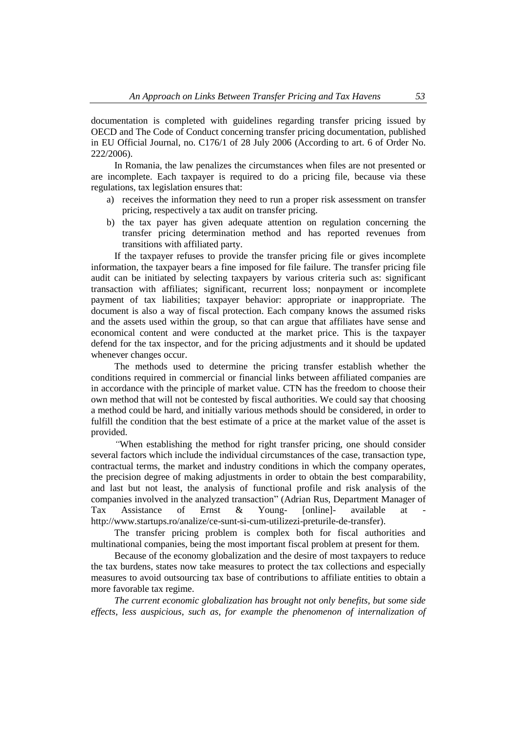documentation is completed with guidelines regarding transfer pricing issued by OECD and The Code of Conduct concerning transfer pricing documentation, published in EU Official Journal, no. C176/1 of 28 July 2006 (According to art. 6 of Order No. 222/2006).

In Romania, the law penalizes the circumstances when files are not presented or are incomplete. Each taxpayer is required to do a pricing file, because via these regulations, tax legislation ensures that:

- a) receives the information they need to run a proper risk assessment on transfer pricing, respectively a tax audit on transfer pricing.
- b) the tax payer has given adequate attention on regulation concerning the transfer pricing determination method and has reported revenues from transitions with affiliated party.

If the taxpayer refuses to provide the transfer pricing file or gives incomplete information, the taxpayer bears a fine imposed for file failure. The transfer pricing file audit can be initiated by selecting taxpayers by various criteria such as: significant transaction with affiliates; significant, recurrent loss; nonpayment or incomplete payment of tax liabilities; taxpayer behavior: appropriate or inappropriate. The document is also a way of fiscal protection. Each company knows the assumed risks and the assets used within the group, so that can argue that affiliates have sense and economical content and were conducted at the market price. This is the taxpayer defend for the tax inspector, and for the pricing adjustments and it should be updated whenever changes occur.

The methods used to determine the pricing transfer establish whether the conditions required in commercial or financial links between affiliated companies are in accordance with the principle of market value. CTN has the freedom to choose their own method that will not be contested by fiscal authorities. We could say that choosing a method could be hard, and initially various methods should be considered, in order to fulfill the condition that the best estimate of a price at the market value of the asset is provided.

*"*When establishing the method for right transfer pricing, one should consider several factors which include the individual circumstances of the case, transaction type, contractual terms, the market and industry conditions in which the company operates, the precision degree of making adjustments in order to obtain the best comparability, and last but not least, the analysis of functional profile and risk analysis of the companies involved in the analyzed transaction" (Adrian Rus, Department Manager of Tax Assistance of Ernst & Young- [online]- available at [http://www.startups.ro/analize/ce-sunt-si-cum-utilizezi-preturile-de-transfer\)](http://www.startups.ro/analize/ce-sunt-si-cum-utilizezi-preturile-de-transfer).

The transfer pricing problem is complex both for fiscal authorities and multinational companies, being the most important fiscal problem at present for them.

Because of the economy globalization and the desire of most taxpayers to reduce the tax burdens, states now take measures to protect the tax collections and especially measures to avoid outsourcing tax base of contributions to affiliate entities to obtain a more favorable tax regime.

*The current economic globalization has brought not only benefits, but some side effects, less auspicious, such as, for example the phenomenon of internalization of*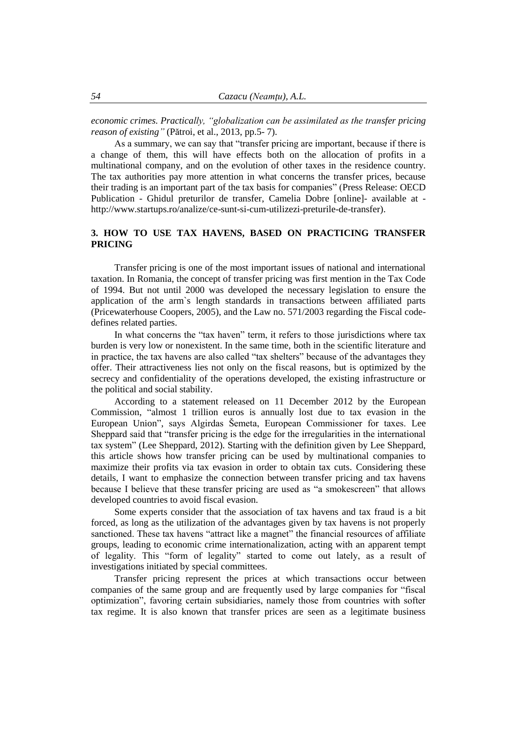*economic crimes. Practically, "globalization can be assimilated as the transfer pricing reason of existing"* (Pătroi, et al., 2013, pp.5- 7).

As a summary, we can say that "transfer pricing are important, because if there is a change of them, this will have effects both on the allocation of profits in a multinational company, and on the evolution of other taxes in the residence country. The tax authorities pay more attention in what concerns the transfer prices, because their trading is an important part of the tax basis for companies" (Press Release: OECD Publication - Ghidul preturilor de transfer, Camelia Dobre [online]- available at [http://www.startups.ro/analize/ce-sunt-si-cum-utilizezi-preturile-de-transfer\)](http://www.startups.ro/analize/ce-sunt-si-cum-utilizezi-preturile-de-transfer).

## **3. HOW TO USE TAX HAVENS, BASED ON PRACTICING TRANSFER PRICING**

Transfer pricing is one of the most important issues of national and international taxation. In Romania, the concept of transfer pricing was first mention in the Tax Code of 1994. But not until 2000 was developed the necessary legislation to ensure the application of the arm`s length standards in transactions between affiliated parts (Pricewaterhouse Coopers, 2005), and the Law no. 571/2003 regarding the Fiscal codedefines related parties.

In what concerns the "tax haven" term, it refers to those jurisdictions where tax burden is very low or nonexistent. In the same time, both in the scientific literature and in practice, the tax havens are also called "tax shelters" because of the advantages they offer. Their attractiveness lies not only on the fiscal reasons, but is optimized by the secrecy and confidentiality of the operations developed, the existing infrastructure or the political and social stability.

According to a statement released on 11 December 2012 by the European Commission, "almost 1 trillion euros is annually lost due to tax evasion in the European Union", says Algirdas Šemeta, European Commissioner for taxes. Lee Sheppard said that "transfer pricing is the edge for the irregularities in the international tax system" (Lee Sheppard, 2012). Starting with the definition given by Lee Sheppard, this article shows how transfer pricing can be used by multinational companies to maximize their profits via tax evasion in order to obtain tax cuts. Considering these details, I want to emphasize the connection between transfer pricing and tax havens because I believe that these transfer pricing are used as "a smokescreen" that allows developed countries to avoid fiscal evasion.

Some experts consider that the association of tax havens and tax fraud is a bit forced, as long as the utilization of the advantages given by tax havens is not properly sanctioned. These tax havens "attract like a magnet" the financial resources of affiliate groups, leading to economic crime internationalization, acting with an apparent tempt of legality. This "form of legality" started to come out lately, as a result of investigations initiated by special committees.

Transfer pricing represent the prices at which transactions occur between companies of the same group and are frequently used by large companies for "fiscal optimization", favoring certain subsidiaries, namely those from countries with softer tax regime. It is also known that transfer prices are seen as a legitimate business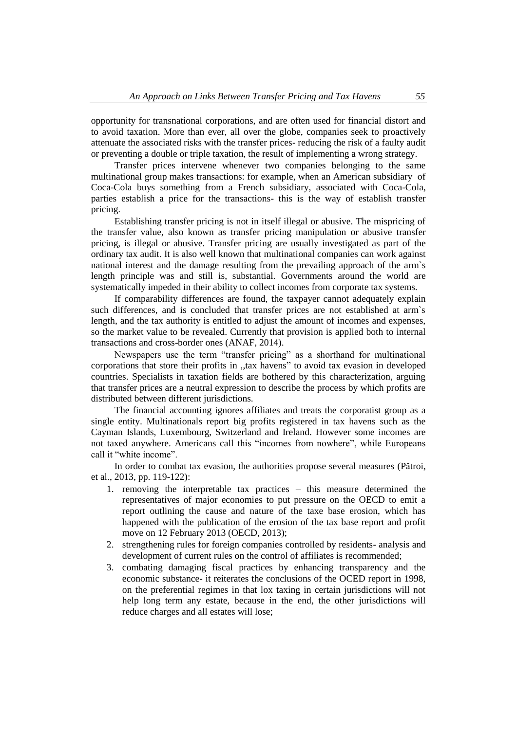opportunity for transnational corporations, and are often used for financial distort and to avoid taxation. More than ever, all over the globe, companies seek to proactively attenuate the associated risks with the transfer prices- reducing the risk of a faulty audit or preventing a double or triple taxation, the result of implementing a wrong strategy.

Transfer prices intervene whenever two companies belonging to the same multinational group makes transactions: for example, when an American subsidiary of Coca-Cola buys something from a French subsidiary, associated with Coca-Cola, parties establish a price for the transactions- this is the way of establish transfer pricing.

Establishing transfer pricing is not in itself illegal or abusive. The mispricing of the transfer value, also known as transfer pricing manipulation or abusive transfer pricing, is illegal or abusive. Transfer pricing are usually investigated as part of the ordinary tax audit. It is also well known that multinational companies can work against national interest and the damage resulting from the prevailing approach of the arm`s length principle was and still is, substantial. Governments around the world are systematically impeded in their ability to collect incomes from corporate tax systems.

If comparability differences are found, the taxpayer cannot adequately explain such differences, and is concluded that transfer prices are not established at arm`s length, and the tax authority is entitled to adjust the amount of incomes and expenses, so the market value to be revealed. Currently that provision is applied both to internal transactions and cross-border ones (ANAF, 2014).

Newspapers use the term "transfer pricing" as a shorthand for multinational corporations that store their profits in ,,tax havens" to avoid tax evasion in developed countries. Specialists in taxation fields are bothered by this characterization, arguing that transfer prices are a neutral expression to describe the process by which profits are distributed between different jurisdictions.

The financial accounting ignores affiliates and treats the corporatist group as a single entity. Multinationals report big profits registered in tax havens such as the Cayman Islands, Luxembourg, Switzerland and Ireland. However some incomes are not taxed anywhere. Americans call this "incomes from nowhere", while Europeans call it "white income".

In order to combat tax evasion, the authorities propose several measures (Pătroi, et al., 2013, pp. 119-122):

- 1. removing the interpretable tax practices this measure determined the representatives of major economies to put pressure on the OECD to emit a report outlining the cause and nature of the taxe base erosion, which has happened with the publication of the erosion of the tax base report and profit move on 12 February 2013 (OECD, 2013);
- 2. strengthening rules for foreign companies controlled by residents- analysis and development of current rules on the control of affiliates is recommended;
- 3. combating damaging fiscal practices by enhancing transparency and the economic substance- it reiterates the conclusions of the OCED report in 1998, on the preferential regimes in that lox taxing in certain jurisdictions will not help long term any estate, because in the end, the other jurisdictions will reduce charges and all estates will lose;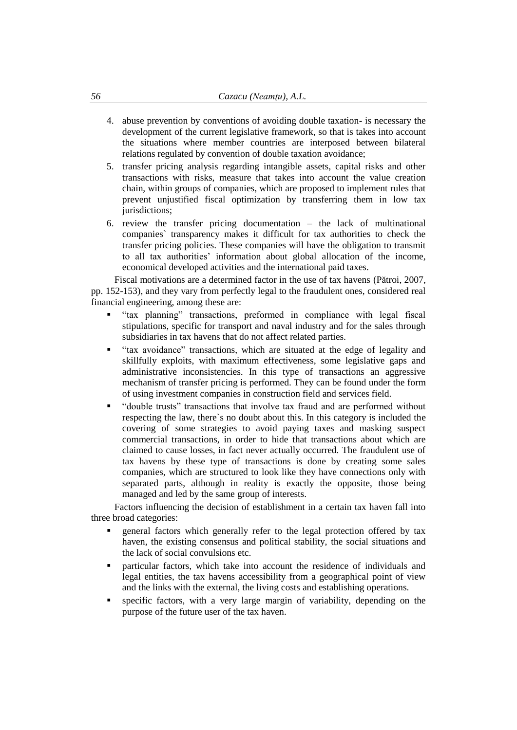- 4. abuse prevention by conventions of avoiding double taxation- is necessary the development of the current legislative framework, so that is takes into account the situations where member countries are interposed between bilateral relations regulated by convention of double taxation avoidance;
- 5. transfer pricing analysis regarding intangible assets, capital risks and other transactions with risks, measure that takes into account the value creation chain, within groups of companies, which are proposed to implement rules that prevent unjustified fiscal optimization by transferring them in low tax jurisdictions;
- 6. review the transfer pricing documentation the lack of multinational companies` transparency makes it difficult for tax authorities to check the transfer pricing policies. These companies will have the obligation to transmit to all tax authorities' information about global allocation of the income, economical developed activities and the international paid taxes.

Fiscal motivations are a determined factor in the use of tax havens (Pătroi, 2007, pp. 152-153), and they vary from perfectly legal to the fraudulent ones, considered real financial engineering, among these are:

- "tax planning" transactions, preformed in compliance with legal fiscal stipulations, specific for transport and naval industry and for the sales through subsidiaries in tax havens that do not affect related parties.
- "tax avoidance" transactions, which are situated at the edge of legality and skillfully exploits, with maximum effectiveness, some legislative gaps and administrative inconsistencies. In this type of transactions an aggressive mechanism of transfer pricing is performed. They can be found under the form of using investment companies in construction field and services field.
- "double trusts" transactions that involve tax fraud and are performed without respecting the law, there`s no doubt about this. In this category is included the covering of some strategies to avoid paying taxes and masking suspect commercial transactions, in order to hide that transactions about which are claimed to cause losses, in fact never actually occurred. The fraudulent use of tax havens by these type of transactions is done by creating some sales companies, which are structured to look like they have connections only with separated parts, although in reality is exactly the opposite, those being managed and led by the same group of interests.

Factors influencing the decision of establishment in a certain tax haven fall into three broad categories:

- general factors which generally refer to the legal protection offered by tax haven, the existing consensus and political stability, the social situations and the lack of social convulsions etc.
- particular factors, which take into account the residence of individuals and legal entities, the tax havens accessibility from a geographical point of view and the links with the external, the living costs and establishing operations.
- specific factors, with a very large margin of variability, depending on the purpose of the future user of the tax haven.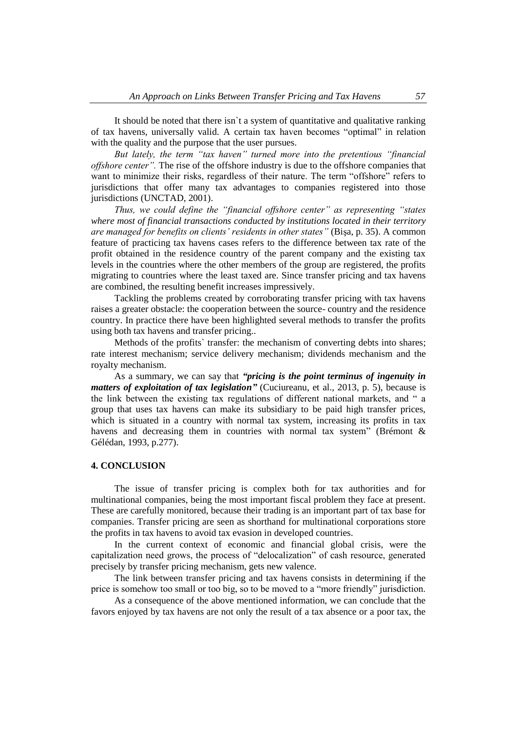It should be noted that there isn`t a system of quantitative and qualitative ranking of tax havens, universally valid. A certain tax haven becomes "optimal" in relation with the quality and the purpose that the user pursues.

*But lately, the term "tax haven" turned more into the pretentious "financial offshore center".* The rise of the offshore industry is due to the offshore companies that want to minimize their risks, regardless of their nature. The term "offshore" refers to jurisdictions that offer many tax advantages to companies registered into those jurisdictions (UNCTAD, 2001).

*Thus, we could define the "financial offshore center" as representing "states where most of financial transactions conducted by institutions located in their territory are managed for benefits on clients' residents in other states"* (Bişa, p. 35). A common feature of practicing tax havens cases refers to the difference between tax rate of the profit obtained in the residence country of the parent company and the existing tax levels in the countries where the other members of the group are registered, the profits migrating to countries where the least taxed are. Since transfer pricing and tax havens are combined, the resulting benefit increases impressively.

Tackling the problems created by corroborating transfer pricing with tax havens raises a greater obstacle: the cooperation between the source- country and the residence country. In practice there have been highlighted several methods to transfer the profits using both tax havens and transfer pricing..

Methods of the profits` transfer: the mechanism of converting debts into shares; rate interest mechanism; service delivery mechanism; dividends mechanism and the royalty mechanism.

As a summary, we can say that *"pricing is the point terminus of ingenuity in matters of exploitation of tax legislation"* (Cuciureanu, et al., 2013, p. 5), because is the link between the existing tax regulations of different national markets, and " a group that uses tax havens can make its subsidiary to be paid high transfer prices, which is situated in a country with normal tax system, increasing its profits in tax havens and decreasing them in countries with normal tax system" (Brémont & Gélédan, 1993, p.277).

### **4. CONCLUSION**

The issue of transfer pricing is complex both for tax authorities and for multinational companies, being the most important fiscal problem they face at present. These are carefully monitored, because their trading is an important part of tax base for companies. Transfer pricing are seen as shorthand for multinational corporations store the profits in tax havens to avoid tax evasion in developed countries.

In the current context of economic and financial global crisis, were the capitalization need grows, the process of "delocalization" of cash resource, generated precisely by transfer pricing mechanism, gets new valence.

The link between transfer pricing and tax havens consists in determining if the price is somehow too small or too big, so to be moved to a "more friendly" jurisdiction.

As a consequence of the above mentioned information, we can conclude that the favors enjoyed by tax havens are not only the result of a tax absence or a poor tax, the